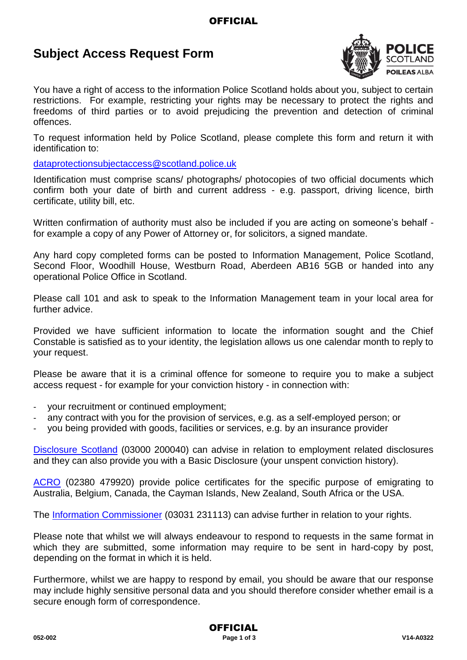### **OFFICIAL**

## **Subject Access Request Form**



You have a right of access to the information Police Scotland holds about you, subject to certain restrictions. For example, restricting your rights may be necessary to protect the rights and freedoms of third parties or to avoid prejudicing the prevention and detection of criminal offences.

To request information held by Police Scotland, please complete this form and return it with identification to:

[dataprotectionsubjectaccess@scotland.police.uk](mailto:dataprotectionsubjectaccess@scotland.pnn.police.uk)

Identification must comprise scans/ photographs/ photocopies of two official documents which confirm both your date of birth and current address - e.g. passport, driving licence, birth certificate, utility bill, etc.

Written confirmation of authority must also be included if you are acting on someone's behalf for example a copy of any Power of Attorney or, for solicitors, a signed mandate.

Any hard copy completed forms can be posted to Information Management, Police Scotland, Second Floor, Woodhill House, Westburn Road, Aberdeen AB16 5GB or handed into any operational Police Office in Scotland.

Please call 101 and ask to speak to the Information Management team in your local area for further advice.

Provided we have sufficient information to locate the information sought and the Chief Constable is satisfied as to your identity, the legislation allows us one calendar month to reply to your request.

Please be aware that it is a criminal offence for someone to require you to make a subject access request - for example for your conviction history - in connection with:

- your recruitment or continued employment;
- any contract with you for the provision of services, e.g. as a self-employed person; or
- you being provided with goods, facilities or services, e.g. by an insurance provider

Disclosure Scotland (03000 200040) can advise in relation to employment related disclosures and they can also provide you with a Basic Disclosure (your unspent conviction history).

ACRO (02380 479920) provide police certificates for the specific purpose of emigrating to Australia, Belgium, Canada, the Cayman Islands, New Zealand, South Africa or the USA.

The Information Commissioner (03031 231113) can advise further in relation to your rights.

Please note that whilst we will always endeavour to respond to requests in the same format in which they are submitted, some information may require to be sent in hard-copy by post, depending on the format in which it is held.

Furthermore, whilst we are happy to respond by email, you should be aware that our response may include highly sensitive personal data and you should therefore consider whether email is a secure enough form of correspondence.

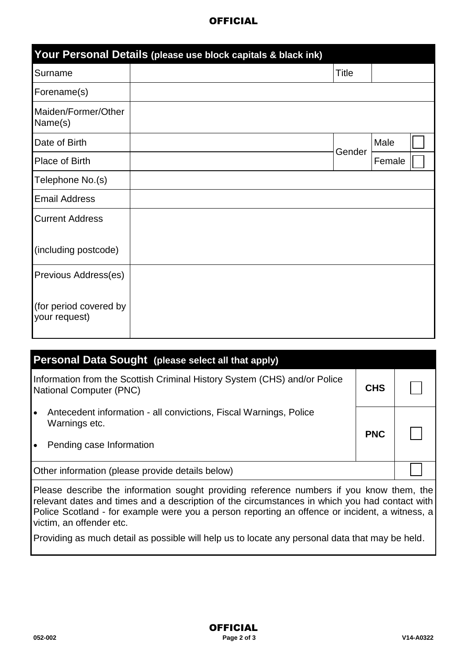#### **OFFICIAL**

|                                         | Your Personal Details (please use block capitals & black ink) |              |        |  |
|-----------------------------------------|---------------------------------------------------------------|--------------|--------|--|
| Surname                                 |                                                               | <b>Title</b> |        |  |
| Forename(s)                             |                                                               |              |        |  |
| Maiden/Former/Other<br>Name(s)          |                                                               |              |        |  |
| Date of Birth                           |                                                               | Gender       | Male   |  |
| Place of Birth                          |                                                               |              | Female |  |
| Telephone No.(s)                        |                                                               |              |        |  |
| <b>Email Address</b>                    |                                                               |              |        |  |
| <b>Current Address</b>                  |                                                               |              |        |  |
| (including postcode)                    |                                                               |              |        |  |
| Previous Address(es)                    |                                                               |              |        |  |
| (for period covered by<br>your request) |                                                               |              |        |  |

| <b>Personal Data Sought (please select all that apply)</b>                                                  |            |  |  |  |
|-------------------------------------------------------------------------------------------------------------|------------|--|--|--|
| Information from the Scottish Criminal History System (CHS) and/or Police<br><b>National Computer (PNC)</b> |            |  |  |  |
| Antecedent information - all convictions, Fiscal Warnings, Police<br>$\bullet$<br>Warnings etc.             | <b>PNC</b> |  |  |  |
| Pending case Information<br>$\bullet$                                                                       |            |  |  |  |
| Other information (please provide details below)                                                            |            |  |  |  |

Please describe the information sought providing reference numbers if you know them, the relevant dates and times and a description of the circumstances in which you had contact with Police Scotland - for example were you a person reporting an offence or incident, a witness, a victim, an offender etc.

Providing as much detail as possible will help us to locate any personal data that may be held.